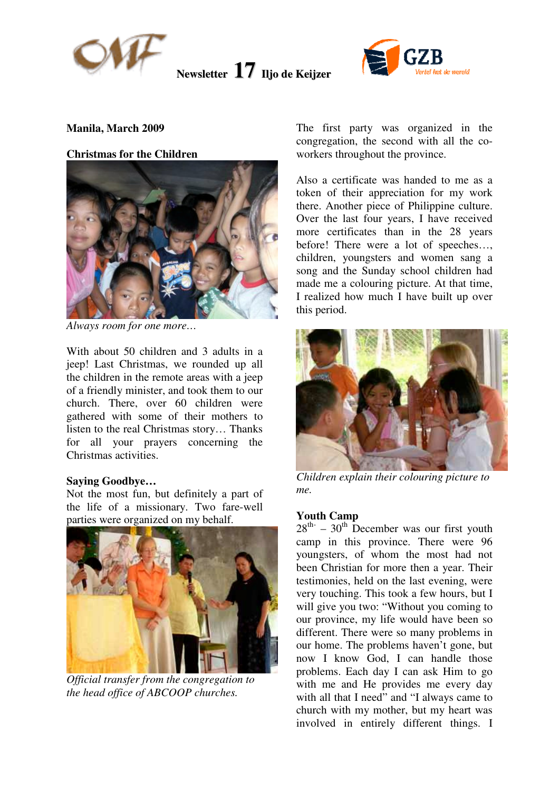



### **Manila, March 2009**

#### **Christmas for the Children**



*Always room for one more…* 

With about 50 children and 3 adults in a jeep! Last Christmas, we rounded up all the children in the remote areas with a jeep of a friendly minister, and took them to our church. There, over 60 children were gathered with some of their mothers to listen to the real Christmas story… Thanks for all your prayers concerning the Christmas activities.

#### **Saying Goodbye…**

Not the most fun, but definitely a part of the life of a missionary. Two fare-well parties were organized on my behalf.



*Official transfer from the congregation to the head office of ABCOOP churches.* 

The first party was organized in the congregation, the second with all the coworkers throughout the province.

Also a certificate was handed to me as a token of their appreciation for my work there. Another piece of Philippine culture. Over the last four years, I have received more certificates than in the 28 years before! There were a lot of speeches…, children, youngsters and women sang a song and the Sunday school children had made me a colouring picture. At that time, I realized how much I have built up over this period.



*Children explain their colouring picture to me.* 

#### **Youth Camp**

 $28<sup>th</sup> - 30<sup>th</sup>$  December was our first youth camp in this province. There were 96 youngsters, of whom the most had not been Christian for more then a year. Their testimonies, held on the last evening, were very touching. This took a few hours, but I will give you two: "Without you coming to our province, my life would have been so different. There were so many problems in our home. The problems haven't gone, but now I know God, I can handle those problems. Each day I can ask Him to go with me and He provides me every day with all that I need" and "I always came to church with my mother, but my heart was involved in entirely different things. I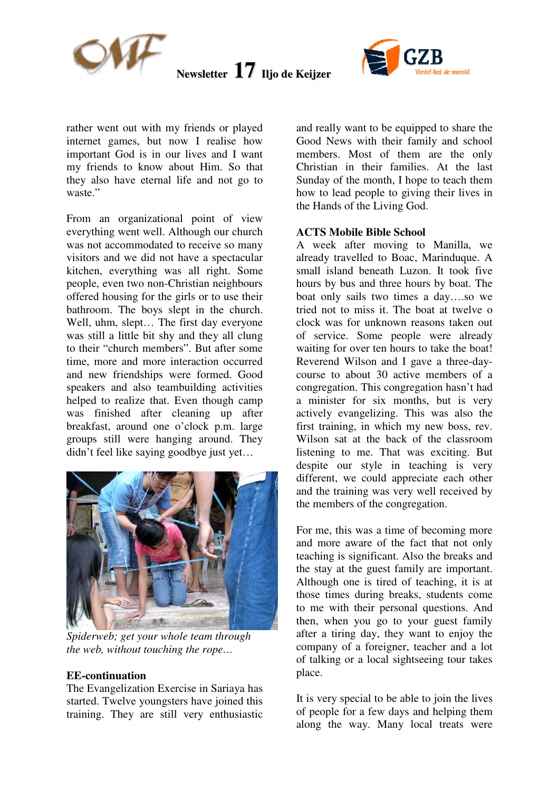



rather went out with my friends or played internet games, but now I realise how important God is in our lives and I want my friends to know about Him. So that they also have eternal life and not go to waste."

From an organizational point of view everything went well. Although our church was not accommodated to receive so many visitors and we did not have a spectacular kitchen, everything was all right. Some people, even two non-Christian neighbours offered housing for the girls or to use their bathroom. The boys slept in the church. Well, uhm, slept… The first day everyone was still a little bit shy and they all clung to their "church members". But after some time, more and more interaction occurred and new friendships were formed. Good speakers and also teambuilding activities helped to realize that. Even though camp was finished after cleaning up after breakfast, around one o'clock p.m. large groups still were hanging around. They didn't feel like saying goodbye just yet…



*Spiderweb; get your whole team through the web, without touching the rope…* 

#### **EE-continuation**

The Evangelization Exercise in Sariaya has started. Twelve youngsters have joined this training. They are still very enthusiastic and really want to be equipped to share the Good News with their family and school members. Most of them are the only Christian in their families. At the last Sunday of the month, I hope to teach them how to lead people to giving their lives in the Hands of the Living God.

#### **ACTS Mobile Bible School**

A week after moving to Manilla, we already travelled to Boac, Marinduque. A small island beneath Luzon. It took five hours by bus and three hours by boat. The boat only sails two times a day….so we tried not to miss it. The boat at twelve o clock was for unknown reasons taken out of service. Some people were already waiting for over ten hours to take the boat! Reverend Wilson and I gave a three-daycourse to about 30 active members of a congregation. This congregation hasn't had a minister for six months, but is very actively evangelizing. This was also the first training, in which my new boss, rev. Wilson sat at the back of the classroom listening to me. That was exciting. But despite our style in teaching is very different, we could appreciate each other and the training was very well received by the members of the congregation.

For me, this was a time of becoming more and more aware of the fact that not only teaching is significant. Also the breaks and the stay at the guest family are important. Although one is tired of teaching, it is at those times during breaks, students come to me with their personal questions. And then, when you go to your guest family after a tiring day, they want to enjoy the company of a foreigner, teacher and a lot of talking or a local sightseeing tour takes place.

It is very special to be able to join the lives of people for a few days and helping them along the way. Many local treats were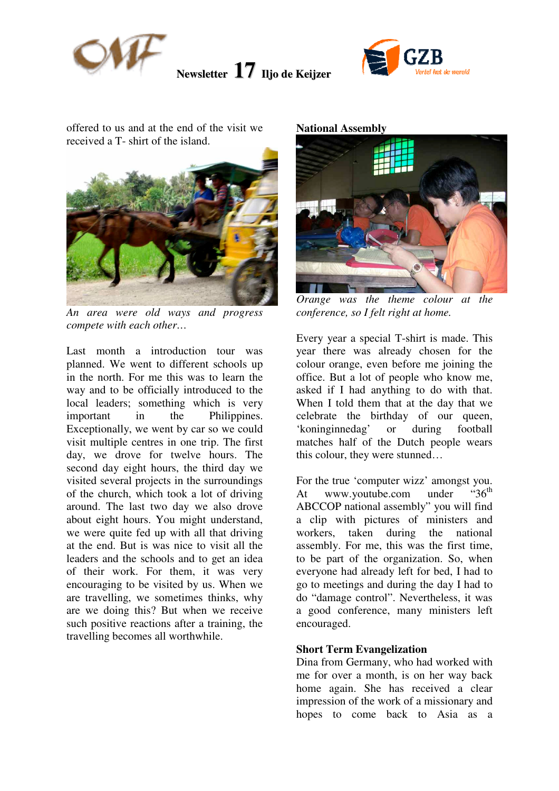



offered to us and at the end of the visit we received a T- shirt of the island.



*An area were old ways and progress compete with each other…*

Last month a introduction tour was planned. We went to different schools up in the north. For me this was to learn the way and to be officially introduced to the local leaders; something which is very important in the Philippines. Exceptionally, we went by car so we could visit multiple centres in one trip. The first day, we drove for twelve hours. The second day eight hours, the third day we visited several projects in the surroundings of the church, which took a lot of driving around. The last two day we also drove about eight hours. You might understand, we were quite fed up with all that driving at the end. But is was nice to visit all the leaders and the schools and to get an idea of their work. For them, it was very encouraging to be visited by us. When we are travelling, we sometimes thinks, why are we doing this? But when we receive such positive reactions after a training, the travelling becomes all worthwhile.

**National Assembly** 



*Orange was the theme colour at the conference, so I felt right at home.* 

Every year a special T-shirt is made. This year there was already chosen for the colour orange, even before me joining the office. But a lot of people who know me, asked if I had anything to do with that. When I told them that at the day that we celebrate the birthday of our queen, 'koninginnedag' or during football matches half of the Dutch people wears this colour, they were stunned…

For the true 'computer wizz' amongst you. At www.youtube.com under " $36<sup>th</sup>$ " ABCCOP national assembly" you will find a clip with pictures of ministers and workers, taken during the national assembly. For me, this was the first time, to be part of the organization. So, when everyone had already left for bed, I had to go to meetings and during the day I had to do "damage control". Nevertheless, it was a good conference, many ministers left encouraged.

## **Short Term Evangelization**

Dina from Germany, who had worked with me for over a month, is on her way back home again. She has received a clear impression of the work of a missionary and hopes to come back to Asia as a